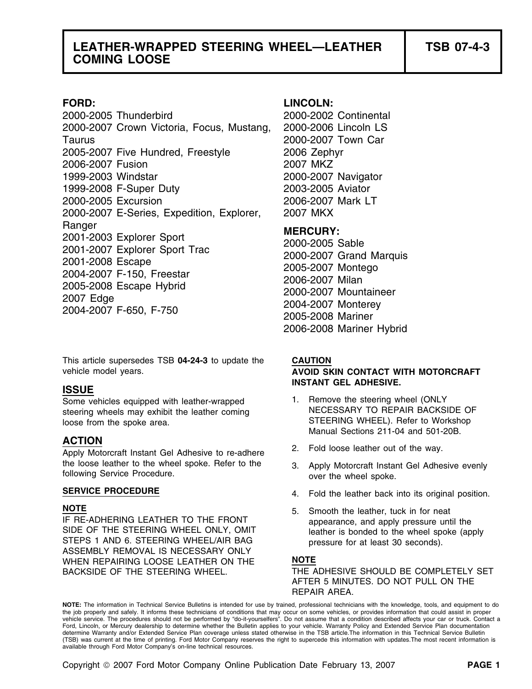2000-2005 Thunderbird 2000-2002 Continental 2000-2007 Crown Victoria, Focus, Mustang, 2000-2006 Lincoln LS Taurus 2000-2007 Town Car 2005-2007 Five Hundred, Freestyle 2006 Zephyr 2006-2007 Fusion 2007 MKZ 1999-2003 Windstar 2000-2007 Navigator 1999-2008 F-Super Duty 2003-2005 Aviator 2000-2005 Excursion 2006-2007 Mark LT 2000-2007 E-Series, Expedition, Explorer, 2007 MKX Ranger<br>
2001-2003 Explorer Sport<br>
2001-2007 Explorer Sport Trac<br>
2001-2008 Escape<br>
2004-2007 F-150, Freestar<br>
2005-2007 Montego<br>
2005-2008 Escape Hybrid<br>
2005-2007 Milan<br>
2007 Edge<br>
2004-2007 F-650, F-750<br>
2004-2007 Monter

This article supersedes TSB **04-24-3** to update the **CAUTION** vehicle model years. **AVOID SKIN CONTACT WITH MOTORCRAFT**

steering wheels may exhibit the leather coming loose from the spoke area. STEERING WHEEL). Refer to Workshop

## **ACTION**

2. Fold loose leather out of the way.<br>Apply Motorcraft Instant Gel Adhesive to re-adhere 2. Fold loose leather out of the way. the loose leather to the wheel spoke. Refer to the 3. Apply Motorcraft Instant Gel Adhesive evenly following Service Procedure.

IF RE-ADHERING LEATHER TO THE FRONT appearance, and apply pressure until the<br>SIDE OF THE STEERING WHEEL ONLY, OMIT STEPS 1 AND 6. STEERING WHEEL/AIR BAG pressure for at least 30 seconds). ASSEMBLY REMOVAL IS NECESSARY ONLY WHEN REPAIRING LOOSE LEATHER ON THE **NOTE**

### **FORD: LINCOLN:**

2006-2008 Mariner Hybrid

# **INSTANT GEL ADHESIVE. ISSUE**

- Some vehicles equipped with leather-wrapped 1. Remove the steering wheel (ONLY<br>steering wheels may exhibit the leather coming NECESSARY TO REPAIR BACKSIDE OF Manual Sections 211-04 and 501-20B.
	-
	-
- **SERVICE PROCEDURE 1990 12. SERVICE PROCEDURE 1991 14.** Fold the leather back into its original position.
- **NOTE**<br>IF RE-ADHERING LEATHER TO THE FRONT **5.** Smooth the leather, tuck in for neat leather is bonded to the wheel spoke (apply)

BACKSIDE OF THE STEERING WHEEL. THE ADHESIVE SHOULD BE COMPLETELY SET AFTER 5 MINUTES. DO NOT PULL ON THE REPAIR AREA.

**NOTE:** The information in Technical Service Bulletins is intended for use by trained, professional technicians with the knowledge, tools, and equipment to do the job properly and safely. It informs these technicians of conditions that may occur on some vehicles, or provides information that could assist in proper<br>vehicle service. The procedures should not be performed by "do-it Ford, Lincoln, or Mercury dealership to determine whether the Bulletin applies to your vehicle. Warranty Policy and Extended Service Plan documentation determine Warranty and/or Extended Service Plan coverage unless stated otherwise in the TSB article.The information in this Technical Service Bulletin (TSB) was current at the time of printing. Ford Motor Company reserves the right to supercede this information with updates.The most recent information is available through Ford Motor Company's on-line technical resources.